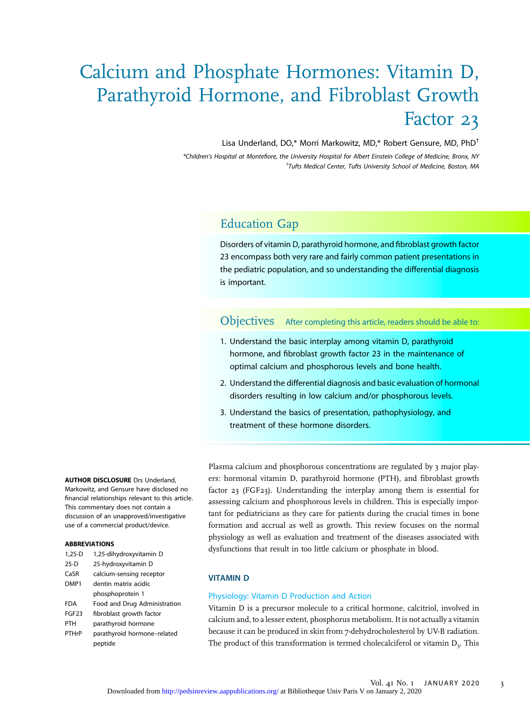# Calcium and Phosphate Hormones: Vitamin D, Parathyroid Hormone, and Fibroblast Growth Factor 23

## Lisa Underland, DO,\* Morri Markowitz, MD,\* Robert Gensure, MD, PhD†

\*Children's Hospital at Montefiore, the University Hospital for Albert Einstein College of Medicine, Bronx, NY † Tufts Medical Center, Tufts University School of Medicine, Boston, MA

# Education Gap

Disorders of vitamin D, parathyroid hormone, and fibroblast growth factor 23 encompass both very rare and fairly common patient presentations in the pediatric population, and so understanding the differential diagnosis is important.

# Objectives After completing this article, readers should be able to:

- 1. Understand the basic interplay among vitamin D, parathyroid hormone, and fibroblast growth factor 23 in the maintenance of optimal calcium and phosphorous levels and bone health.
- 2. Understand the differential diagnosis and basic evaluation of hormonal disorders resulting in low calcium and/or phosphorous levels.
- 3. Understand the basics of presentation, pathophysiology, and treatment of these hormone disorders.

Plasma calcium and phosphorous concentrations are regulated by 3 major players: hormonal vitamin D, parathyroid hormone (PTH), and fibroblast growth factor 23 (FGF23). Understanding the interplay among them is essential for assessing calcium and phosphorous levels in children. This is especially important for pediatricians as they care for patients during the crucial times in bone formation and accrual as well as growth. This review focuses on the normal physiology as well as evaluation and treatment of the diseases associated with dysfunctions that result in too little calcium or phosphate in blood.

## VITAMIN D

#### Physiology: Vitamin D Production and Action

Vitamin D is a precursor molecule to a critical hormone, calcitriol, involved in calcium and, to a lesser extent, phosphorus metabolism. It is not actually a vitamin because it can be produced in skin from 7-dehydrocholesterol by UV-B radiation. The product of this transformation is termed cholecalciferol or vitamin  $D_3$ . This

AUTHOR DISCLOSURE Drs Underland, Markowitz, and Gensure have disclosed no financial relationships relevant to this article. This commentary does not contain a discussion of an unapproved/investigative use of a commercial product/device.

#### ABBREVIATIONS

| $1,25 - D$       | 1,25-dihydroxyvitamin D      |
|------------------|------------------------------|
| $25-D$           | 25-hydroxyvitamin D          |
| CaSR             | calcium-sensing receptor     |
| DMP <sub>1</sub> | dentin matrix acidic         |
|                  | phosphoprotein 1             |
| <b>FDA</b>       | Food and Drug Administration |
| FGF23            | fibroblast growth factor     |
| PTH              | parathyroid hormone          |
| PTHrP            | parathyroid hormone-related  |
|                  | peptide                      |
|                  |                              |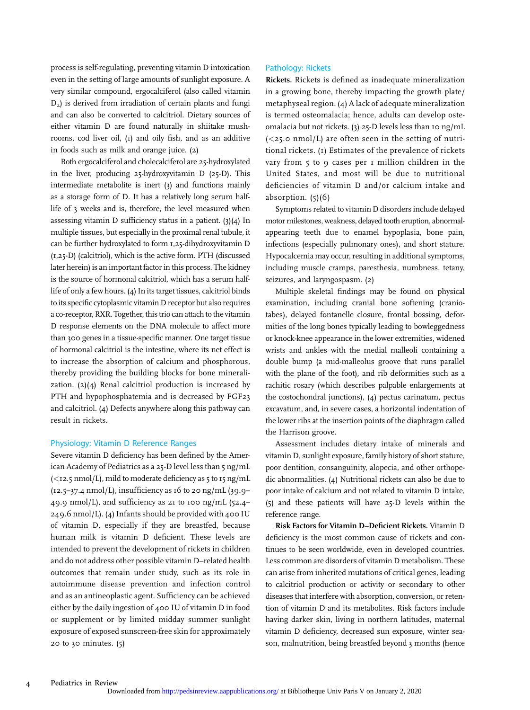process is self-regulating, preventing vitamin D intoxication even in the setting of large amounts of sunlight exposure. A very similar compound, ergocalciferol (also called vitamin  $D<sub>2</sub>$ ) is derived from irradiation of certain plants and fungi and can also be converted to calcitriol. Dietary sources of either vitamin D are found naturally in shiitake mushrooms, cod liver oil, (1) and oily fish, and as an additive in foods such as milk and orange juice. (2)

Both ergocalciferol and cholecalciferol are 25-hydroxylated in the liver, producing 25-hydroxyvitamin D (25-D). This intermediate metabolite is inert (3) and functions mainly as a storage form of D. It has a relatively long serum halflife of 3 weeks and is, therefore, the level measured when assessing vitamin D sufficiency status in a patient.  $(3)(4)$  In multiple tissues, but especially in the proximal renal tubule, it can be further hydroxylated to form 1,25-dihydroxyvitamin D (1,25-D) (calcitriol), which is the active form. PTH (discussed later herein) is an important factor in this process. The kidney is the source of hormonal calcitriol, which has a serum halflife of only a few hours. (4) In its target tissues, calcitriol binds to its specific cytoplasmic vitamin D receptor but also requires a co-receptor, RXR. Together, this trio can attach to the vitamin D response elements on the DNA molecule to affect more than 300 genes in a tissue-specific manner. One target tissue of hormonal calcitriol is the intestine, where its net effect is to increase the absorption of calcium and phosphorous, thereby providing the building blocks for bone mineralization. (2)(4) Renal calcitriol production is increased by PTH and hypophosphatemia and is decreased by FGF23 and calcitriol. (4) Defects anywhere along this pathway can result in rickets.

#### Physiology: Vitamin D Reference Ranges

Severe vitamin D deficiency has been defined by the American Academy of Pediatrics as a 25-D level less than 5 ng/mL  $\langle$  <12.5 nmol/L), mild to moderate deficiency as 5 to 15 ng/mL  $(12.5-37.4 \text{ nmol/L})$ , insufficiency as 16 to 20 ng/mL  $(39.9-$ 49.9 nmol/L), and sufficiency as 21 to 100 ng/mL (52.4– 249.6 nmol/L). (4) Infants should be provided with 400 IU of vitamin D, especially if they are breastfed, because human milk is vitamin D deficient. These levels are intended to prevent the development of rickets in children and do not address other possible vitamin D–related health outcomes that remain under study, such as its role in autoimmune disease prevention and infection control and as an antineoplastic agent. Sufficiency can be achieved either by the daily ingestion of 400 IU of vitamin D in food or supplement or by limited midday summer sunlight exposure of exposed sunscreen-free skin for approximately  $20$  to  $30$  minutes.  $(5)$ 

## Pathology: Rickets

Rickets. Rickets is defined as inadequate mineralization in a growing bone, thereby impacting the growth plate/ metaphyseal region. (4) A lack of adequate mineralization is termed osteomalacia; hence, adults can develop osteomalacia but not rickets. (3) 25-D levels less than 10 ng/mL  $\langle$  < 25.0 nmol/L) are often seen in the setting of nutritional rickets. (1) Estimates of the prevalence of rickets vary from 5 to 9 cases per 1 million children in the United States, and most will be due to nutritional deficiencies of vitamin D and/or calcium intake and absorption.  $(5)(6)$ 

Symptoms related to vitamin D disorders include delayed motor milestones, weakness, delayed tooth eruption, abnormalappearing teeth due to enamel hypoplasia, bone pain, infections (especially pulmonary ones), and short stature. Hypocalcemia may occur, resulting in additional symptoms, including muscle cramps, paresthesia, numbness, tetany, seizures, and laryngospasm. (2)

Multiple skeletal findings may be found on physical examination, including cranial bone softening (craniotabes), delayed fontanelle closure, frontal bossing, deformities of the long bones typically leading to bowleggedness or knock-knee appearance in the lower extremities, widened wrists and ankles with the medial malleoli containing a double bump (a mid-malleolus groove that runs parallel with the plane of the foot), and rib deformities such as a rachitic rosary (which describes palpable enlargements at the costochondral junctions), (4) pectus carinatum, pectus excavatum, and, in severe cases, a horizontal indentation of the lower ribs at the insertion points of the diaphragm called the Harrison groove.

Assessment includes dietary intake of minerals and vitamin D, sunlight exposure, family history of short stature, poor dentition, consanguinity, alopecia, and other orthopedic abnormalities. (4) Nutritional rickets can also be due to poor intake of calcium and not related to vitamin D intake, (5) and these patients will have 25-D levels within the reference range.

Risk Factors for Vitamin D–Deficient Rickets. Vitamin D deficiency is the most common cause of rickets and continues to be seen worldwide, even in developed countries. Less common are disorders of vitamin D metabolism. These can arise from inherited mutations of critical genes, leading to calcitriol production or activity or secondary to other diseases that interfere with absorption, conversion, or retention of vitamin D and its metabolites. Risk factors include having darker skin, living in northern latitudes, maternal vitamin D deficiency, decreased sun exposure, winter season, malnutrition, being breastfed beyond 3 months (hence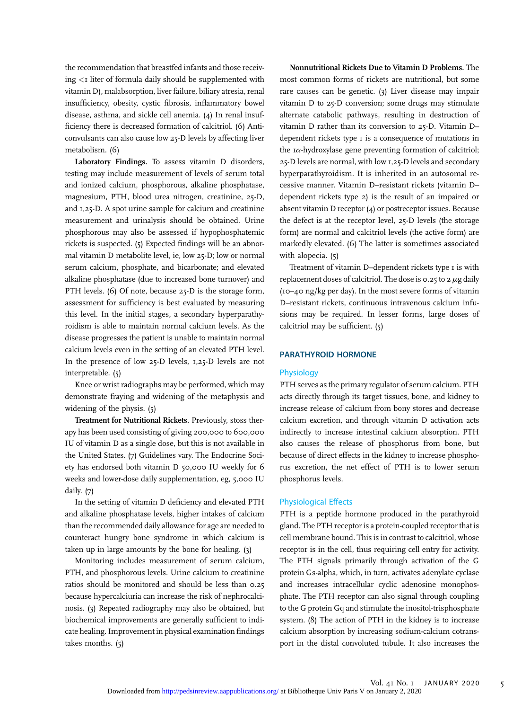the recommendation that breastfed infants and those receiving  $\langle$  1 liter of formula daily should be supplemented with vitamin D), malabsorption, liver failure, biliary atresia, renal insufficiency, obesity, cystic fibrosis, inflammatory bowel disease, asthma, and sickle cell anemia. (4) In renal insufficiency there is decreased formation of calcitriol. (6) Anticonvulsants can also cause low 25-D levels by affecting liver metabolism. (6)

Laboratory Findings. To assess vitamin D disorders, testing may include measurement of levels of serum total and ionized calcium, phosphorous, alkaline phosphatase, magnesium, PTH, blood urea nitrogen, creatinine, 25-D, and 1,25-D. A spot urine sample for calcium and creatinine measurement and urinalysis should be obtained. Urine phosphorous may also be assessed if hypophosphatemic rickets is suspected. (5) Expected findings will be an abnormal vitamin D metabolite level, ie, low 25-D; low or normal serum calcium, phosphate, and bicarbonate; and elevated alkaline phosphatase (due to increased bone turnover) and PTH levels. (6) Of note, because 25-D is the storage form, assessment for sufficiency is best evaluated by measuring this level. In the initial stages, a secondary hyperparathyroidism is able to maintain normal calcium levels. As the disease progresses the patient is unable to maintain normal calcium levels even in the setting of an elevated PTH level. In the presence of low 25-D levels, 1,25-D levels are not interpretable. (5)

Knee or wrist radiographs may be performed, which may demonstrate fraying and widening of the metaphysis and widening of the physis. (5)

Treatment for Nutritional Rickets. Previously, stoss therapy has been used consisting of giving 200,000 to 600,000 IU of vitamin D as a single dose, but this is not available in the United States. (7) Guidelines vary. The Endocrine Society has endorsed both vitamin D 50,000 IU weekly for 6 weeks and lower-dose daily supplementation, eg, 5,000 IU daily. (7)

In the setting of vitamin D deficiency and elevated PTH and alkaline phosphatase levels, higher intakes of calcium than the recommended daily allowance for age are needed to counteract hungry bone syndrome in which calcium is taken up in large amounts by the bone for healing. (3)

Monitoring includes measurement of serum calcium, PTH, and phosphorous levels. Urine calcium to creatinine ratios should be monitored and should be less than 0.25 because hypercalciuria can increase the risk of nephrocalcinosis. (3) Repeated radiography may also be obtained, but biochemical improvements are generally sufficient to indicate healing. Improvement in physical examination findings takes months. (5)

Nonnutritional Rickets Due to Vitamin D Problems. The most common forms of rickets are nutritional, but some rare causes can be genetic. (3) Liver disease may impair vitamin D to 25-D conversion; some drugs may stimulate alternate catabolic pathways, resulting in destruction of vitamin D rather than its conversion to 25-D. Vitamin D– dependent rickets type 1 is a consequence of mutations in the  $1\alpha$ -hydroxylase gene preventing formation of calcitriol; 25-D levels are normal, with low 1,25-D levels and secondary hyperparathyroidism. It is inherited in an autosomal recessive manner. Vitamin D–resistant rickets (vitamin D– dependent rickets type 2) is the result of an impaired or absent vitamin D receptor (4) or postreceptor issues. Because the defect is at the receptor level, 25-D levels (the storage form) are normal and calcitriol levels (the active form) are markedly elevated. (6) The latter is sometimes associated with alopecia. (5)

Treatment of vitamin D–dependent rickets type I is with replacement doses of calcitriol. The dose is  $0.25$  to 2  $\mu$ g daily (10–40 ng/kg per day). In the most severe forms of vitamin D–resistant rickets, continuous intravenous calcium infusions may be required. In lesser forms, large doses of calcitriol may be sufficient. (5)

#### PARATHYROID HORMONE

#### Physiology

PTH serves as the primary regulator of serum calcium. PTH acts directly through its target tissues, bone, and kidney to increase release of calcium from bony stores and decrease calcium excretion, and through vitamin D activation acts indirectly to increase intestinal calcium absorption. PTH also causes the release of phosphorus from bone, but because of direct effects in the kidney to increase phosphorus excretion, the net effect of PTH is to lower serum phosphorus levels.

#### Physiological Effects

PTH is a peptide hormone produced in the parathyroid gland. The PTH receptor is a protein-coupled receptor that is cell membrane bound. This is in contrast to calcitriol, whose receptor is in the cell, thus requiring cell entry for activity. The PTH signals primarily through activation of the G protein Gs-alpha, which, in turn, activates adenylate cyclase and increases intracellular cyclic adenosine monophosphate. The PTH receptor can also signal through coupling to the G protein Gq and stimulate the inositol-trisphosphate system. (8) The action of PTH in the kidney is to increase calcium absorption by increasing sodium-calcium cotransport in the distal convoluted tubule. It also increases the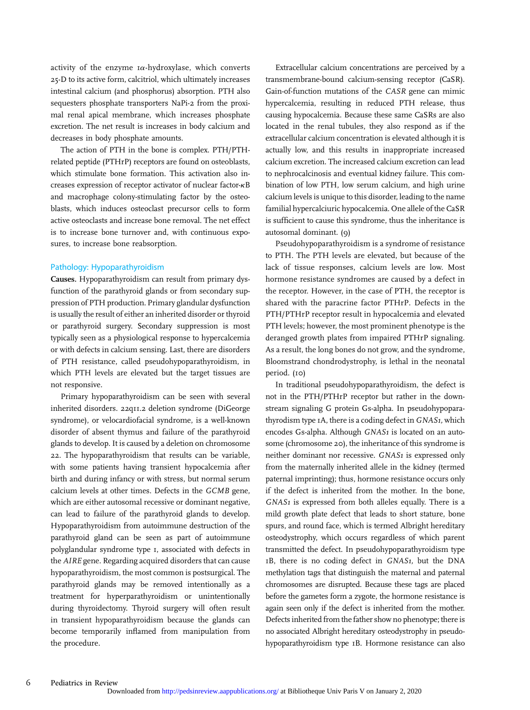activity of the enzyme  $1\alpha$ -hydroxylase, which converts 25-D to its active form, calcitriol, which ultimately increases intestinal calcium (and phosphorus) absorption. PTH also sequesters phosphate transporters NaPi-2 from the proximal renal apical membrane, which increases phosphate excretion. The net result is increases in body calcium and decreases in body phosphate amounts.

The action of PTH in the bone is complex. PTH/PTHrelated peptide (PTHrP) receptors are found on osteoblasts, which stimulate bone formation. This activation also increases expression of receptor activator of nuclear factor-kB and macrophage colony-stimulating factor by the osteoblasts, which induces osteoclast precursor cells to form active osteoclasts and increase bone removal. The net effect is to increase bone turnover and, with continuous exposures, to increase bone reabsorption.

#### Pathology: Hypoparathyroidism

Causes. Hypoparathyroidism can result from primary dysfunction of the parathyroid glands or from secondary suppression of PTH production. Primary glandular dysfunction is usually the result of either an inherited disorder or thyroid or parathyroid surgery. Secondary suppression is most typically seen as a physiological response to hypercalcemia or with defects in calcium sensing. Last, there are disorders of PTH resistance, called pseudohypoparathyroidism, in which PTH levels are elevated but the target tissues are not responsive.

Primary hypoparathyroidism can be seen with several inherited disorders. 22q11.2 deletion syndrome (DiGeorge syndrome), or velocardiofacial syndrome, is a well-known disorder of absent thymus and failure of the parathyroid glands to develop. It is caused by a deletion on chromosome 22. The hypoparathyroidism that results can be variable, with some patients having transient hypocalcemia after birth and during infancy or with stress, but normal serum calcium levels at other times. Defects in the GCMB gene, which are either autosomal recessive or dominant negative, can lead to failure of the parathyroid glands to develop. Hypoparathyroidism from autoimmune destruction of the parathyroid gland can be seen as part of autoimmune polyglandular syndrome type 1, associated with defects in the AIRE gene. Regarding acquired disorders that can cause hypoparathyroidism, the most common is postsurgical. The parathyroid glands may be removed intentionally as a treatment for hyperparathyroidism or unintentionally during thyroidectomy. Thyroid surgery will often result in transient hypoparathyroidism because the glands can become temporarily inflamed from manipulation from the procedure.

Extracellular calcium concentrations are perceived by a transmembrane-bound calcium-sensing receptor (CaSR). Gain-of-function mutations of the CASR gene can mimic hypercalcemia, resulting in reduced PTH release, thus causing hypocalcemia. Because these same CaSRs are also located in the renal tubules, they also respond as if the extracellular calcium concentration is elevated although it is actually low, and this results in inappropriate increased calcium excretion. The increased calcium excretion can lead to nephrocalcinosis and eventual kidney failure. This combination of low PTH, low serum calcium, and high urine calcium levels is unique to this disorder, leading to the name familial hypercalciuric hypocalcemia. One allele of the CaSR is sufficient to cause this syndrome, thus the inheritance is autosomal dominant. (9)

Pseudohypoparathyroidism is a syndrome of resistance to PTH. The PTH levels are elevated, but because of the lack of tissue responses, calcium levels are low. Most hormone resistance syndromes are caused by a defect in the receptor. However, in the case of PTH, the receptor is shared with the paracrine factor PTHrP. Defects in the PTH/PTHrP receptor result in hypocalcemia and elevated PTH levels; however, the most prominent phenotype is the deranged growth plates from impaired PTHrP signaling. As a result, the long bones do not grow, and the syndrome, Bloomstrand chondrodystrophy, is lethal in the neonatal period. (10)

In traditional pseudohypoparathyroidism, the defect is not in the PTH/PTHrP receptor but rather in the downstream signaling G protein Gs-alpha. In pseudohypoparathyrodism type 1A, there is a coding defect in GNAS1, which encodes Gs-alpha. Although GNAS1 is located on an autosome (chromosome 20), the inheritance of this syndrome is neither dominant nor recessive. GNAS1 is expressed only from the maternally inherited allele in the kidney (termed paternal imprinting); thus, hormone resistance occurs only if the defect is inherited from the mother. In the bone, GNAS1 is expressed from both alleles equally. There is a mild growth plate defect that leads to short stature, bone spurs, and round face, which is termed Albright hereditary osteodystrophy, which occurs regardless of which parent transmitted the defect. In pseudohypoparathyroidism type 1B, there is no coding defect in GNAS1, but the DNA methylation tags that distinguish the maternal and paternal chromosomes are disrupted. Because these tags are placed before the gametes form a zygote, the hormone resistance is again seen only if the defect is inherited from the mother. Defects inherited from the father show no phenotype; there is no associated Albright hereditary osteodystrophy in pseudohypoparathyroidism type 1B. Hormone resistance can also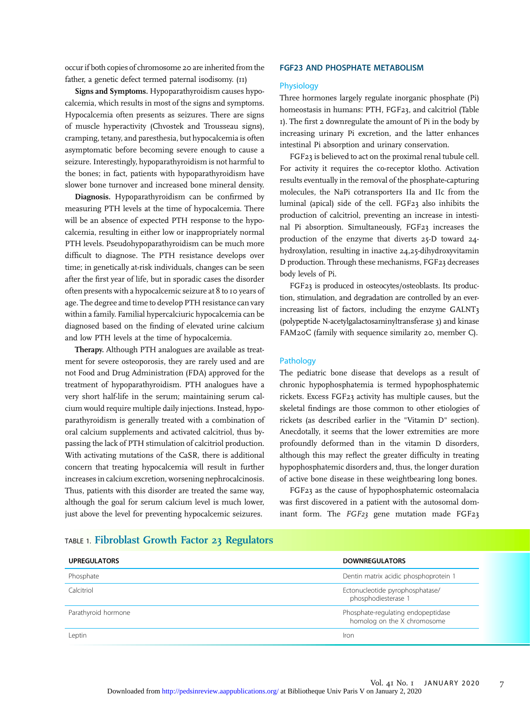occur if both copies of chromosome 20 are inherited from the father, a genetic defect termed paternal isodisomy. (11)

Signs and Symptoms. Hypoparathyroidism causes hypocalcemia, which results in most of the signs and symptoms. Hypocalcemia often presents as seizures. There are signs of muscle hyperactivity (Chvostek and Trousseau signs), cramping, tetany, and paresthesia, but hypocalcemia is often asymptomatic before becoming severe enough to cause a seizure. Interestingly, hypoparathyroidism is not harmful to the bones; in fact, patients with hypoparathyroidism have slower bone turnover and increased bone mineral density.

Diagnosis. Hypoparathyroidism can be confirmed by measuring PTH levels at the time of hypocalcemia. There will be an absence of expected PTH response to the hypocalcemia, resulting in either low or inappropriately normal PTH levels. Pseudohypoparathyroidism can be much more difficult to diagnose. The PTH resistance develops over time; in genetically at-risk individuals, changes can be seen after the first year of life, but in sporadic cases the disorder often presents with a hypocalcemic seizure at 8 to 10 years of age. The degree and time to develop PTH resistance can vary within a family. Familial hypercalciuric hypocalcemia can be diagnosed based on the finding of elevated urine calcium and low PTH levels at the time of hypocalcemia.

Therapy. Although PTH analogues are available as treatment for severe osteoporosis, they are rarely used and are not Food and Drug Administration (FDA) approved for the treatment of hypoparathyroidism. PTH analogues have a very short half-life in the serum; maintaining serum calcium would require multiple daily injections. Instead, hypoparathyroidism is generally treated with a combination of oral calcium supplements and activated calcitriol, thus bypassing the lack of PTH stimulation of calcitriol production. With activating mutations of the CaSR, there is additional concern that treating hypocalcemia will result in further increases in calcium excretion, worsening nephrocalcinosis. Thus, patients with this disorder are treated the same way, although the goal for serum calcium level is much lower, just above the level for preventing hypocalcemic seizures.

## FGF23 AND PHOSPHATE METABOLISM

## Physiology

Three hormones largely regulate inorganic phosphate (Pi) homeostasis in humans: PTH, FGF23, and calcitriol (Table 1). The first 2 downregulate the amount of Pi in the body by increasing urinary Pi excretion, and the latter enhances intestinal Pi absorption and urinary conservation.

FGF23 is believed to act on the proximal renal tubule cell. For activity it requires the co-receptor klotho. Activation results eventually in the removal of the phosphate-capturing molecules, the NaPi cotransporters IIa and IIc from the luminal (apical) side of the cell. FGF23 also inhibits the production of calcitriol, preventing an increase in intestinal Pi absorption. Simultaneously, FGF23 increases the production of the enzyme that diverts 25-D toward 24 hydroxylation, resulting in inactive 24,25-dihydroxyvitamin D production. Through these mechanisms, FGF23 decreases body levels of Pi.

FGF23 is produced in osteocytes/osteoblasts. Its production, stimulation, and degradation are controlled by an everincreasing list of factors, including the enzyme GALNT3 (polypeptide N-acetylgalactosaminyltransferase 3) and kinase FAM20C (family with sequence similarity 20, member C).

#### Pathology

The pediatric bone disease that develops as a result of chronic hypophosphatemia is termed hypophosphatemic rickets. Excess FGF23 activity has multiple causes, but the skeletal findings are those common to other etiologies of rickets (as described earlier in the "Vitamin D" section). Anecdotally, it seems that the lower extremities are more profoundly deformed than in the vitamin D disorders, although this may reflect the greater difficulty in treating hypophosphatemic disorders and, thus, the longer duration of active bone disease in these weightbearing long bones.

FGF23 as the cause of hypophosphatemic osteomalacia was first discovered in a patient with the autosomal dominant form. The FGF23 gene mutation made FGF23

| <b>UPREGULATORS</b> | <b>DOWNREGULATORS</b>                                             |
|---------------------|-------------------------------------------------------------------|
| Phosphate           | Dentin matrix acidic phosphoprotein 1                             |
| Calcitriol          | Ectonucleotide pyrophosphatase/<br>phosphodiesterase 1            |
| Parathyroid hormone | Phosphate-regulating endopeptidase<br>homolog on the X chromosome |
| Leptin              | Iron                                                              |

## TABLE 1. Fibroblast Growth Factor 23 Regulators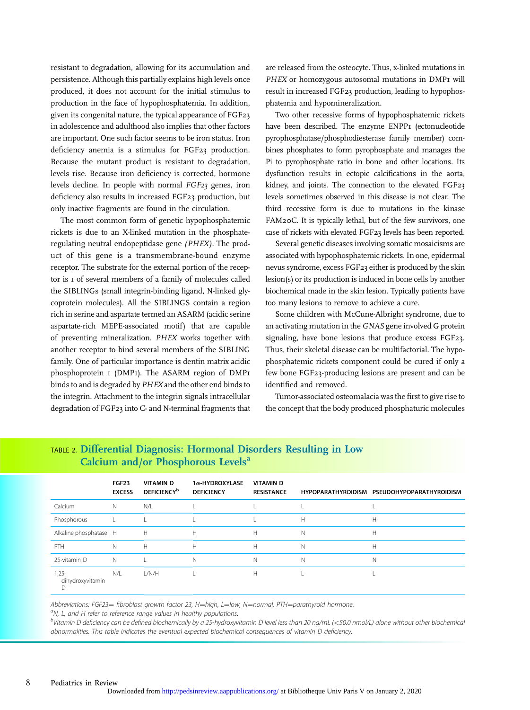resistant to degradation, allowing for its accumulation and persistence. Although this partially explains high levels once produced, it does not account for the initial stimulus to production in the face of hypophosphatemia. In addition, given its congenital nature, the typical appearance of FGF23 in adolescence and adulthood also implies that other factors are important. One such factor seems to be iron status. Iron deficiency anemia is a stimulus for FGF23 production. Because the mutant product is resistant to degradation, levels rise. Because iron deficiency is corrected, hormone levels decline. In people with normal FGF23 genes, iron deficiency also results in increased FGF23 production, but only inactive fragments are found in the circulation.

The most common form of genetic hypophosphatemic rickets is due to an X-linked mutation in the phosphateregulating neutral endopeptidase gene (PHEX). The product of this gene is a transmembrane-bound enzyme receptor. The substrate for the external portion of the receptor is 1 of several members of a family of molecules called the SIBLINGs (small integrin-binding ligand, N-linked glycoprotein molecules). All the SIBLINGS contain a region rich in serine and aspartate termed an ASARM (acidic serine aspartate-rich MEPE-associated motif) that are capable of preventing mineralization. PHEX works together with another receptor to bind several members of the SIBLING family. One of particular importance is dentin matrix acidic phosphoprotein 1 (DMP1). The ASARM region of DMP1 binds to and is degraded by PHEX and the other end binds to the integrin. Attachment to the integrin signals intracellular degradation of FGF23 into C- and N-terminal fragments that are released from the osteocyte. Thus, x-linked mutations in PHEX or homozygous autosomal mutations in DMP<sub>I</sub> will result in increased FGF23 production, leading to hypophosphatemia and hypomineralization.

Two other recessive forms of hypophosphatemic rickets have been described. The enzyme ENPP1 (ectonucleotide pyrophosphatase/phosphodiesterase family member) combines phosphates to form pyrophosphate and manages the Pi to pyrophosphate ratio in bone and other locations. Its dysfunction results in ectopic calcifications in the aorta, kidney, and joints. The connection to the elevated FGF23 levels sometimes observed in this disease is not clear. The third recessive form is due to mutations in the kinase FAM20C. It is typically lethal, but of the few survivors, one case of rickets with elevated FGF23 levels has been reported.

Several genetic diseases involving somatic mosaicisms are associated with hypophosphatemic rickets. In one, epidermal nevus syndrome, excess FGF23 either is produced by the skin lesion(s) or its production is induced in bone cells by another biochemical made in the skin lesion. Typically patients have too many lesions to remove to achieve a cure.

Some children with McCune-Albright syndrome, due to an activating mutation in the GNAS gene involved G protein signaling, have bone lesions that produce excess FGF23. Thus, their skeletal disease can be multifactorial. The hypophosphatemic rickets component could be cured if only a few bone FGF23-producing lesions are present and can be identified and removed.

Tumor-associated osteomalacia was the first to give rise to the concept that the body produced phosphaturic molecules

|                                  | FGF23<br><b>EXCESS</b> | <b>VITAMIND</b><br><b>DEFICIENCY<sup>b</sup></b> | 1 <sub>a</sub> -HYDROXYLASE<br><b>DEFICIENCY</b> | <b>VITAMIND</b><br><b>RESISTANCE</b> |   | HYPOPARATHYROIDISM PSEUDOHYPOPARATHYROIDISM |
|----------------------------------|------------------------|--------------------------------------------------|--------------------------------------------------|--------------------------------------|---|---------------------------------------------|
| Calcium                          | N                      | N/L                                              |                                                  |                                      |   |                                             |
| Phosphorous                      |                        |                                                  |                                                  |                                      | н | Н                                           |
| Alkaline phosphatase H           |                        | H                                                | н                                                | H                                    | N | Н                                           |
| PTH                              | N                      | H                                                | Н                                                | $\mathsf{H}$                         | N | Н                                           |
| 25-vitamin D                     | N                      |                                                  | N                                                | N                                    | N | Ν                                           |
| $1,25-$<br>dihydroxyvitamin<br>D | N/L                    | L/N/H                                            |                                                  | Н                                    |   |                                             |

# TABLE 2. Differential Diagnosis: Hormonal Disorders Resulting in Low Calcium and/or Phosphorous Levels $a$

Abbreviations: FGF23= fibroblast growth factor 23, H=high, L=low, N=normal, PTH=parathyroid hormone.

<sup>a</sup>N, L, and H refer to reference range values in healthy populations.

b Vitamin D deficiency can be defined biochemically by a 25-hydroxyvitamin D level less than 20 ng/mL (<50.0 nmol/L) alone without other biochemical abnormalities. This table indicates the eventual expected biochemical consequences of vitamin D deficiency.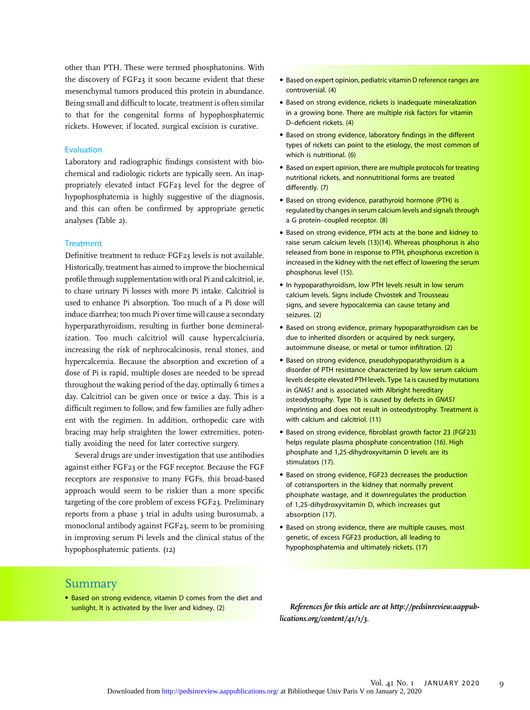other than PTH. These were termed phosphatonins. With the discovery of FGF23 it soon became evident that these mesenchymal tumors produced this protein in abundance. Being small and difficult to locate, treatment is often similar to that for the congenital forms of hypophosphatemic rickets. However, if located, surgical excision is curative.

#### Evaluation

Laboratory and radiographic findings consistent with biochemical and radiologic rickets are typically seen. An inappropriately elevated intact FGF23 level for the degree of hypophosphatemia is highly suggestive of the diagnosis, and this can often be confirmed by appropriate genetic analyses (Table 2).

#### **Treatment**

Definitive treatment to reduce FGF23 levels is not available. Historically, treatment has aimed to improve the biochemical profile through supplementation with oral Pi and calcitriol, ie, to chase urinary Pi losses with more Pi intake. Calcitriol is used to enhance Pi absorption. Too much of a Pi dose will induce diarrhea; too much Pi over time will cause a secondary hyperparathyroidism, resulting in further bone demineralization. Too much calcitriol will cause hypercalciuria, increasing the risk of nephrocalcinosis, renal stones, and hypercalcemia. Because the absorption and excretion of a dose of Pi is rapid, multiple doses are needed to be spread throughout the waking period of the day, optimally 6 times a day. Calcitriol can be given once or twice a day. This is a difficult regimen to follow, and few families are fully adherent with the regimen. In addition, orthopedic care with bracing may help straighten the lower extremities, potentially avoiding the need for later corrective surgery.

Several drugs are under investigation that use antibodies against either FGF23 or the FGF receptor. Because the FGF receptors are responsive to many FGFs, this broad-based approach would seem to be riskier than a more specific targeting of the core problem of excess FGF23. Preliminary reports from a phase 3 trial in adults using burosumab, a monoclonal antibody against FGF23, seem to be promising in improving serum Pi levels and the clinical status of the hypophosphatemic patients. (12)

- Based on expert opinion, pediatric vitamin D reference ranges are controversial. (4)
- Based on strong evidence, rickets is inadequate mineralization in a growing bone. There are multiple risk factors for vitamin D–deficient rickets. (4)
- Based on strong evidence, laboratory findings in the different types of rickets can point to the etiology, the most common of which is nutritional. (6)
- Based on expert opinion, there are multiple protocols for treating nutritional rickets, and nonnutritional forms are treated differently. (7)
- Based on strong evidence, parathyroid hormone (PTH) is regulated by changes in serum calcium levels and signals through a G protein–coupled receptor. (8)
- Based on strong evidence, PTH acts at the bone and kidney to raise serum calcium levels (13)(14). Whereas phosphorus is also released from bone in response to PTH, phosphorus excretion is increased in the kidney with the net effect of lowering the serum phosphorus level (15).
- In hypoparathyroidism, low PTH levels result in low serum calcium levels. Signs include Chvostek and Trousseau signs, and severe hypocalcemia can cause tetany and seizures. (2)
- Based on strong evidence, primary hypoparathyroidism can be due to inherited disorders or acquired by neck surgery, autoimmune disease, or metal or tumor infiltration. (2)
- Based on strong evidence, pseudohypoparathyroidism is a disorder of PTH resistance characterized by low serum calcium levels despite elevated PTH levels. Type 1a is caused by mutations in GNAS1 and is associated with Albright hereditary osteodystrophy. Type 1b is caused by defects in GNAS1 imprinting and does not result in osteodystrophy. Treatment is with calcium and calcitriol. (11)
- Based on strong evidence, fibroblast growth factor 23 (FGF23) helps regulate plasma phosphate concentration (16). High phosphate and 1,25-dihydroxyvitamin D levels are its stimulators (17).
- Based on strong evidence, FGF23 decreases the production of cotransporters in the kidney that normally prevent phosphate wastage, and it downregulates the production of 1,25-dihydroxyvitamin D, which increases gut absorption (17).
- Based on strong evidence, there are multiple causes, most genetic, of excess FGF23 production, all leading to hypophosphatemia and ultimately rickets. (17)

## Summary

• Based on strong evidence, vitamin D comes from the diet and sunlight. It is activated by the liver and kidney. (2)

References for this article are at [http://pedsinreview.aappub](http://pedsinreview.aappublications.org/content/41/1/3)[lications.org/content/41/1/3](http://pedsinreview.aappublications.org/content/41/1/3).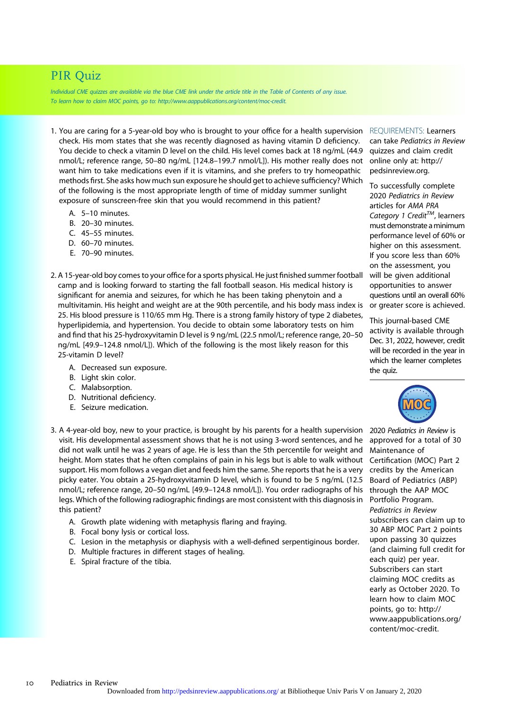# PIR Quiz

Individual CME quizzes are available via the blue CME link under the article title in the Table of Contents of any issue. To learn how to claim MOC points, go to: [http://www.aappublications.org/content/moc-credit.](http://www.aappublications.org/content/moc-credit)

- 1. You are caring for a 5-year-old boy who is brought to your office for a health supervision check. His mom states that she was recently diagnosed as having vitamin D deficiency. You decide to check a vitamin D level on the child. His level comes back at 18 ng/mL (44.9 nmol/L; reference range, 50–80 ng/mL [124.8–199.7 nmol/L]). His mother really does not want him to take medications even if it is vitamins, and she prefers to try homeopathic methods first. She asks how much sun exposure he should get to achieve sufficiency? Which of the following is the most appropriate length of time of midday summer sunlight exposure of sunscreen-free skin that you would recommend in this patient?
	- A. 5–10 minutes.
	- B. 20–30 minutes.
	- C. 45–55 minutes.
	- D. 60–70 minutes.
	- E. 70–90 minutes.
- 2. A 15-year-old boy comes to your office for a sports physical. He just finished summer football camp and is looking forward to starting the fall football season. His medical history is significant for anemia and seizures, for which he has been taking phenytoin and a multivitamin. His height and weight are at the 90th percentile, and his body mass index is 25. His blood pressure is 110/65 mm Hg. There is a strong family history of type 2 diabetes, hyperlipidemia, and hypertension. You decide to obtain some laboratory tests on him and find that his 25-hydroxyvitamin D level is 9 ng/mL (22.5 nmol/L; reference range, 20–50 ng/mL [49.9–124.8 nmol/L]). Which of the following is the most likely reason for this 25-vitamin D level?
	- A. Decreased sun exposure.
	- B. Light skin color.
	- C. Malabsorption.
	- D. Nutritional deficiency.
	- E. Seizure medication.

3. A 4-year-old boy, new to your practice, is brought by his parents for a health supervision visit. His developmental assessment shows that he is not using 3-word sentences, and he did not walk until he was 2 years of age. He is less than the 5th percentile for weight and height. Mom states that he often complains of pain in his legs but is able to walk without support. His mom follows a vegan diet and feeds him the same. She reports that he is a very picky eater. You obtain a 25-hydroxyvitamin D level, which is found to be 5 ng/mL (12.5 nmol/L; reference range, 20–50 ng/mL [49.9–124.8 nmol/L]). You order radiographs of his legs. Which of the following radiographic findings are most consistent with this diagnosis in this patient?

- A. Growth plate widening with metaphysis flaring and fraying.
- B. Focal bony lysis or cortical loss.
- C. Lesion in the metaphysis or diaphysis with a well-defined serpentiginous border.
- D. Multiple fractures in different stages of healing.
- E. Spiral fracture of the tibia.

REQUIREMENTS: Learners can take Pediatrics in Review quizzes and claim credit online only at: [http://](http://pedsinreview.org) [pedsinreview.org](http://pedsinreview.org).

To successfully complete 2020 Pediatrics in Review articles for AMA PRA Category 1 Credit<sup>TM</sup>, learners must demonstrate aminimum performance level of 60% or higher on this assessment. If you score less than 60% on the assessment, you will be given additional opportunities to answer questions until an overall 60% or greater score is achieved.

This journal-based CME activity is available through Dec. 31, 2022, however, credit will be recorded in the year in which the learner completes the quiz.



2020 Pediatrics in Review is approved for a total of 30 Maintenance of Certification (MOC) Part 2 credits by the American Board of Pediatrics (ABP) through the AAP MOC Portfolio Program. Pediatrics in Review subscribers can claim up to 30 ABP MOC Part 2 points upon passing 30 quizzes (and claiming full credit for each quiz) per year. Subscribers can start claiming MOC credits as early as October 2020. To learn how to claim MOC points, go to: [http://](http://www.aappublications.org/content/moc-credit) [www.aappublications.org/](http://www.aappublications.org/content/moc-credit) [content/moc-credit.](http://www.aappublications.org/content/moc-credit)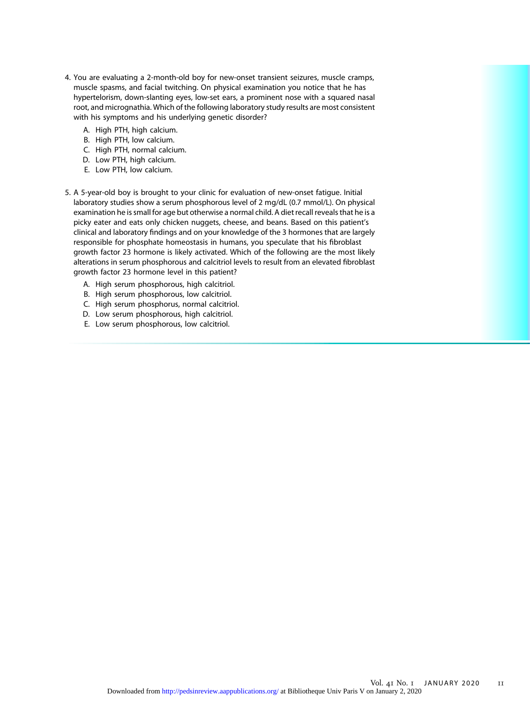- 4. You are evaluating a 2-month-old boy for new-onset transient seizures, muscle cramps, muscle spasms, and facial twitching. On physical examination you notice that he has hypertelorism, down-slanting eyes, low-set ears, a prominent nose with a squared nasal root, and micrognathia. Which of the following laboratory study results are most consistent with his symptoms and his underlying genetic disorder?
	- A. High PTH, high calcium.
	- B. High PTH, low calcium.
	- C. High PTH, normal calcium.
	- D. Low PTH, high calcium.
	- E. Low PTH, low calcium.
- 5. A 5-year-old boy is brought to your clinic for evaluation of new-onset fatigue. Initial laboratory studies show a serum phosphorous level of 2 mg/dL (0.7 mmol/L). On physical examination he is small for age but otherwise a normal child. A diet recall reveals that he is a picky eater and eats only chicken nuggets, cheese, and beans. Based on this patient's clinical and laboratory findings and on your knowledge of the 3 hormones that are largely responsible for phosphate homeostasis in humans, you speculate that his fibroblast growth factor 23 hormone is likely activated. Which of the following are the most likely alterations in serum phosphorous and calcitriol levels to result from an elevated fibroblast growth factor 23 hormone level in this patient?
	- A. High serum phosphorous, high calcitriol.
	- B. High serum phosphorous, low calcitriol.
	- C. High serum phosphorus, normal calcitriol.
	- D. Low serum phosphorous, high calcitriol.
	- E. Low serum phosphorous, low calcitriol.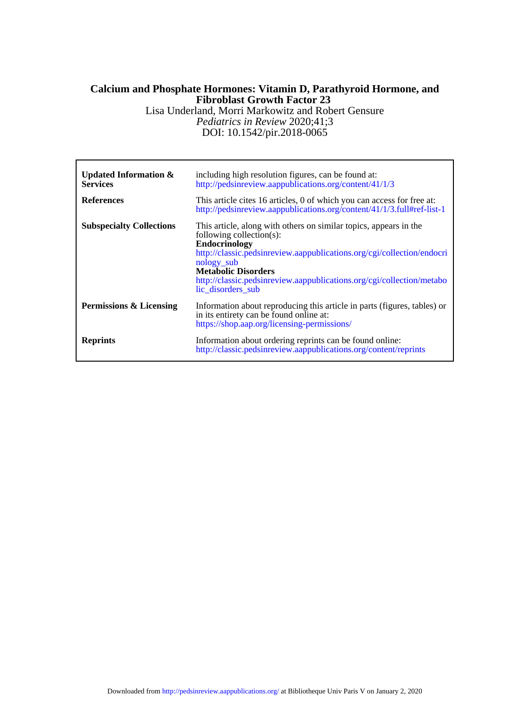# **Fibroblast Growth Factor 23 Calcium and Phosphate Hormones: Vitamin D, Parathyroid Hormone, and**

DOI: 10.1542/pir.2018-0065 *Pediatrics in Review* 2020;41;3 Lisa Underland, Morri Markowitz and Robert Gensure

| <b>Updated Information &amp;</b><br><b>Services</b><br><b>References</b> | including high resolution figures, can be found at:<br>http://pedsinreview.aappublications.org/content/41/1/3<br>This article cites 16 articles, 0 of which you can access for free at:<br>http://pedsinreview.aappublications.org/content/41/1/3.full#ref-list-1                                                                         |
|--------------------------------------------------------------------------|-------------------------------------------------------------------------------------------------------------------------------------------------------------------------------------------------------------------------------------------------------------------------------------------------------------------------------------------|
| <b>Subspecialty Collections</b>                                          | This article, along with others on similar topics, appears in the<br>following collection(s):<br><b>Endocrinology</b><br>http://classic.pedsinreview.aappublications.org/cgi/collection/endocri<br>nology_sub<br><b>Metabolic Disorders</b><br>http://classic.pedsinreview.aappublications.org/cgi/collection/metabo<br>lic disorders sub |
| <b>Permissions &amp; Licensing</b>                                       | Information about reproducing this article in parts (figures, tables) or<br>in its entirety can be found online at:<br>https://shop.aap.org/licensing-permissions/                                                                                                                                                                        |
| <b>Reprints</b>                                                          | Information about ordering reprints can be found online:<br>http://classic.pedsinreview.aappublications.org/content/reprints                                                                                                                                                                                                              |